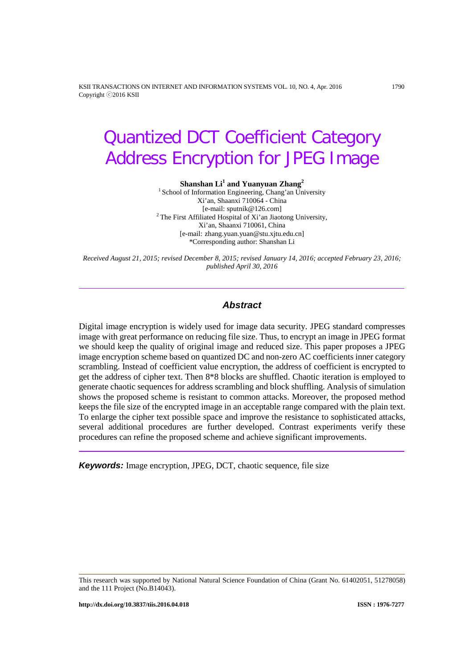KSII TRANSACTIONS ON INTERNET AND INFORMATION SYSTEMS VOL. 10, NO. 4, Apr. 2016 1790 Copyright ⓒ2016 KSII

# Quantized DCT Coefficient Category Address Encryption for JPEG Image

#### **Shanshan Li<sup>1</sup> and Yuanyuan Zhang<sup>2</sup>**

<sup>1</sup> School of Information Engineering, Chang'an University Xi'an, Shaanxi 710064 - China [e-mail: sputnik@126.com] <sup>2</sup> The First Affiliated Hospital of Xi'an Jiaotong University, Xi'an, Shaanxi 710061, China [e-mail: zhang.yuan.yuan@stu.xjtu.edu.cn] \*Corresponding author: Shanshan Li

*Received August 21, 2015; revised December 8, 2015; revised January 14, 2016; accepted February 23, 2016; published April 30, 2016*

#### *Abstract*

Digital image encryption is widely used for image data security. JPEG standard compresses image with great performance on reducing file size. Thus, to encrypt an image in JPEG format we should keep the quality of original image and reduced size. This paper proposes a JPEG image encryption scheme based on quantized DC and non-zero AC coefficients inner category scrambling. Instead of coefficient value encryption, the address of coefficient is encrypted to get the address of cipher text. Then 8\*8 blocks are shuffled. Chaotic iteration is employed to generate chaotic sequences for address scrambling and block shuffling. Analysis of simulation shows the proposed scheme is resistant to common attacks. Moreover, the proposed method keeps the file size of the encrypted image in an acceptable range compared with the plain text. To enlarge the cipher text possible space and improve the resistance to sophisticated attacks, several additional procedures are further developed. Contrast experiments verify these procedures can refine the proposed scheme and achieve significant improvements.

*Keywords:* Image encryption, JPEG, DCT, chaotic sequence, file size

This research was supported by National Natural Science Foundation of China (Grant No. 61402051, 51278058) and the 111 Project (No.B14043).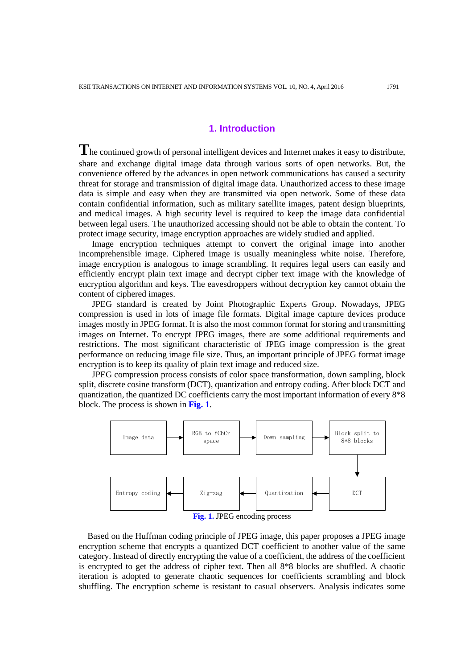## **1. Introduction**

**T**he continued growth of personal intelligent devices and Internet makes it easy to distribute, share and exchange digital image data through various sorts of open networks. But, the convenience offered by the advances in open network communications has caused a security threat for storage and transmission of digital image data. Unauthorized access to these image data is simple and easy when they are transmitted via open network. Some of these data contain confidential information, such as military satellite images, patent design blueprints, and medical images. A high security level is required to keep the image data confidential between legal users. The unauthorized accessing should not be able to obtain the content. To protect image security, image encryption approaches are widely studied and applied.

Image encryption techniques attempt to convert the original image into another incomprehensible image. Ciphered image is usually meaningless white noise. Therefore, image encryption is analogous to image scrambling. It requires legal users can easily and efficiently encrypt plain text image and decrypt cipher text image with the knowledge of encryption algorithm and keys. The eavesdroppers without decryption key cannot obtain the content of ciphered images.

JPEG standard is created by Joint Photographic Experts Group. Nowadays, JPEG compression is used in lots of image file formats. Digital image capture devices produce images mostly in JPEG format. It is also the most common format for storing and transmitting images on Internet. To encrypt JPEG images, there are some additional requirements and restrictions. The most significant characteristic of JPEG image compression is the great performance on reducing image file size. Thus, an important principle of JPEG format image encryption is to keep its quality of plain text image and reduced size.

JPEG compression process consists of color space transformation, down sampling, block split, discrete cosine transform (DCT), quantization and entropy coding. After block DCT and quantization, the quantized DC coefficients carry the most important information of every 8\*8 block. The process is shown in **[Fig.](#page-1-0) 1**.



**Fig. 1.** JPEG encoding process

<span id="page-1-0"></span>Based on the Huffman coding principle of JPEG image, this paper proposes a JPEG image encryption scheme that encrypts a quantized DCT coefficient to another value of the same category. Instead of directly encrypting the value of a coefficient, the address of the coefficient is encrypted to get the address of cipher text. Then all 8\*8 blocks are shuffled. A chaotic iteration is adopted to generate chaotic sequences for coefficients scrambling and block shuffling. The encryption scheme is resistant to casual observers. Analysis indicates some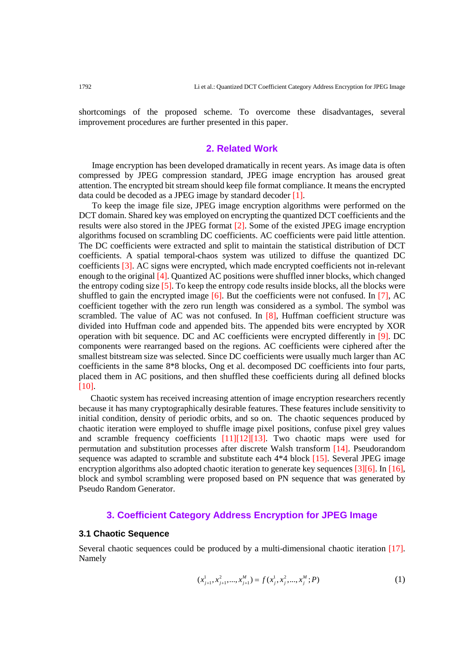shortcomings of the proposed scheme. To overcome these disadvantages, several improvement procedures are further presented in this paper.

# **2. Related Work**

Image encryption has been developed dramatically in recent years. As image data is often compressed by JPEG compression standard, JPEG image encryption has aroused great attention. The encrypted bit stream should keep file format compliance. It means the encrypted data could be decoded as a JPEG image by standard decoder [\[1\].](#page-14-0)

To keep the image file size, JPEG image encryption algorithms were performed on the DCT domain. Shared key was employed on encrypting the quantized DCT coefficients and the results were also stored in the JPEG format [\[2\].](#page-14-1) Some of the existed JPEG image encryption algorithms focused on scrambling DC coefficients. AC coefficients were paid little attention. The DC coefficients were extracted and split to maintain the statistical distribution of DCT coefficients. A spatial temporal-chaos system was utilized to diffuse the quantized DC coefficients [\[3\].](#page-14-2) AC signs were encrypted, which made encrypted coefficients not in-relevant enough to the origina[l \[4\].](#page-14-3) Quantized AC positions were shuffled inner blocks, which changed the entropy coding size  $\lceil 5 \rceil$ . To keep the entropy code results inside blocks, all the blocks were shuffled to gain the encrypted image  $[6]$ . But the coefficients were not confused. In [\[7\],](#page-15-0) AC coefficient together with the zero run length was considered as a symbol. The symbol was scrambled. The value of AC was not confused. In  $[8]$ , Huffman coefficient structure was divided into Huffman code and appended bits. The appended bits were encrypted by XOR operation with bit sequence. DC and AC coefficients were encrypted differently in [\[9\].](#page-15-2) DC components were rearranged based on the regions. AC coefficients were ciphered after the smallest bitstream size was selected. Since DC coefficients were usually much larger than AC coefficients in the same 8\*8 blocks, Ong et al. decomposed DC coefficients into four parts, placed them in AC positions, and then shuffled these coefficients during all defined blocks [\[10\].](#page-15-3)

Chaotic system has received increasing attention of image encryption researchers recently because it has many cryptographically desirable features. These features include sensitivity to initial condition, density of periodic orbits, and so on. The chaotic sequences produced by chaotic iteration were employed to shuffle image pixel positions, confuse pixel grey values and scramble frequency coefficients [\[11\]\[12\]](#page-15-4)[\[13\].](#page-15-5) Two chaotic maps were used for permutation and substitution processes after discrete Walsh transform [\[14\].](#page-15-6) Pseudorandom sequence was adapted to scramble and substitute each 4\*4 block [\[15\].](#page-15-7) Several JPEG image encryption algorithms also adopted chaotic iteration to generate key sequence[s \[3\]\[6\].](#page-14-2) In [\[16\],](#page-15-8) block and symbol scrambling were proposed based on PN sequence that was generated by Pseudo Random Generator.

### **3. Coefficient Category Address Encryption for JPEG Image**

#### **3.1 Chaotic Sequence**

Several chaotic sequences could be produced by a multi-dimensional chaotic iteration [\[17\].](#page-15-9) Namely

$$
(x_{j+1}^1, x_{j+1}^2, \dots, x_{j+1}^M) = f(x_j^1, x_j^2, \dots, x_j^M; P) \tag{1}
$$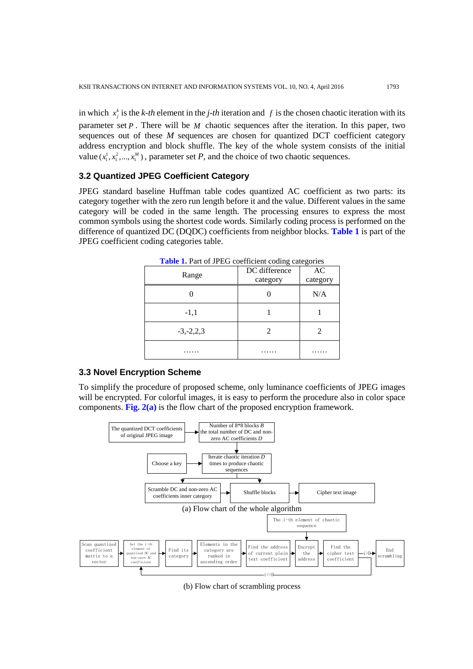in which  $x_j^k$  is the *k-th* element in the *j-th* iteration and *f* is the chosen chaotic iteration with its parameter set *P* . There will be *M* chaotic sequences after the iteration. In this paper, two sequences out of these *M* sequences are chosen for quantized DCT coefficient category address encryption and block shuffle. The key of the whole system consists of the initial value  $(x_1^1, x_1^2, ..., x_1^M)$ , parameter set *P*, and the choice of two chaotic sequences.

## **3.2 Quantized JPEG Coefficient Category**

JPEG standard baseline Huffman table codes quantized AC coefficient as two parts: its category together with the zero run length before it and the value. Different values in the same category will be coded in the same length. The processing ensures to express the most common symbols using the shortest code words. Similarly coding process is performed on the difference of quantized DC (DQDC) coefficients from neighbor blocks. **Table 1** is part of the JPEG coefficient coding categories table.

| Range          | DC difference<br>category | n nur or en mo coement county categories<br>AC<br>category |  |
|----------------|---------------------------|------------------------------------------------------------|--|
|                |                           | N/A                                                        |  |
| $-1,1$         |                           |                                                            |  |
| $-3, -2, 2, 3$ | 2                         |                                                            |  |
|                |                           |                                                            |  |

**Table 1.** Part of JPEG coefficient coding categories

# **3.3 Novel Encryption Scheme**

To simplify the procedure of proposed scheme, only luminance coefficients of JPEG images will be encrypted. For colorful images, it is easy to perform the procedure also in color space components. **[Fig.](#page-4-0) 2(a)** is the flow chart of the proposed encryption framework.



(b) Flow chart of scrambling process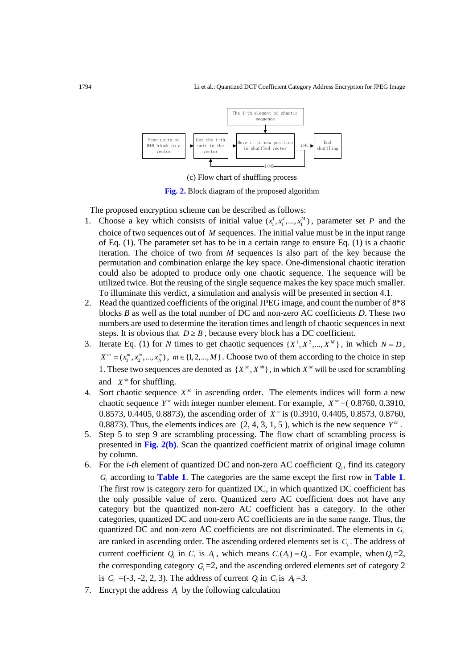

(c) Flow chart of shuffling process

**Fig. 2.** Block diagram of the proposed algorithm

<span id="page-4-0"></span>The proposed encryption scheme can be described as follows:

- 1. Choose a key which consists of initial value  $(x_1^1, x_1^2, ..., x_n^M)$ , parameter set *P* and the choice of two sequences out of *M* sequences. The initial value must be in the input range of Eq. (1). The parameter set has to be in a certain range to ensure Eq. (1) is a chaotic iteration. The choice of two from *M* sequences is also part of the key because the permutation and combination enlarge the key space. One-dimensional chaotic iteration could also be adopted to produce only one chaotic sequence. The sequence will be utilized twice. But the reusing of the single sequence makes the key space much smaller. To illuminate this verdict, a simulation and analysis will be presented in section 4.1.
- 2. Read the quantized coefficients of the original JPEG image, and count the number of 8\*8 blocks *B* as well as the total number of DC and non-zero AC coefficients *D*. These two numbers are used to determine the iteration times and length of chaotic sequences in next steps. It is obvious that  $D \geq B$ , because every block has a DC coefficient.
- 3. Iterate Eq. (1) for *N* times to get chaotic sequences  $\{X^1, X^2, ..., X^M\}$ , in which  $N = D$ ,  $X^m = (x_1^m, x_2^m, ..., x_N^m)$ ,  $m \in \{1, 2, ..., M\}$ . Choose two of them according to the choice in step 1. These two sequences are denoted as  $\{X^{sc}, X^{sh}\}\$ , in which  $X^{sc}$  will be used for scrambling and  $X^{sh}$  for shuffling.
- 4. Sort chaotic sequence  $X^{sc}$  in ascending order. The elements indices will form a new chaotic sequence *Y*<sup>*x*</sup> with integer number element. For example,  $X$ <sup>*x*</sup> = (0.8760, 0.3910, 0.8573, 0.4405, 0.8873), the ascending order of *X<sup>x</sup>* is (0.3910, 0.4405, 0.8573, 0.8760, 0.8873). Thus, the elements indices are  $(2, 4, 3, 1, 5)$ , which is the new sequence  $Y^{\alpha}$ .
- 5. Step 5 to step 9 are scrambling processing. The flow chart of scrambling process is presented in **[Fig.](#page-4-0) 2(b)**. Scan the quantized coefficient matrix of original image column by column.
- 6. For the *i-th* element of quantized DC and non-zero AC coefficient  $Q_i$ , find its category *Gi* according to **Table 1**. The categories are the same except the first row in **Table 1**. The first row is category zero for quantized DC, in which quantized DC coefficient has the only possible value of zero. Quantized zero AC coefficient does not have any category but the quantized non-zero AC coefficient has a category. In the other categories, quantized DC and non-zero AC coefficients are in the same range. Thus, the quantized DC and non-zero AC coefficients are not discriminated. The elements in *Gi* are ranked in ascending order. The ascending ordered elements set is *Ci* . The address of current coefficient  $Q_i$  in  $C_i$  is  $A_i$ , which means  $C_i(A_i) = Q_i$ . For example, when  $Q_i = 2$ , the corresponding category  $G_i = 2$ , and the ascending ordered elements set of category 2 is  $C_i = (-3, -2, 2, 3)$ . The address of current  $Q_i$  in  $C_i$  is  $A_i = 3$ .
- 7. Encrypt the address *Ai* by the following calculation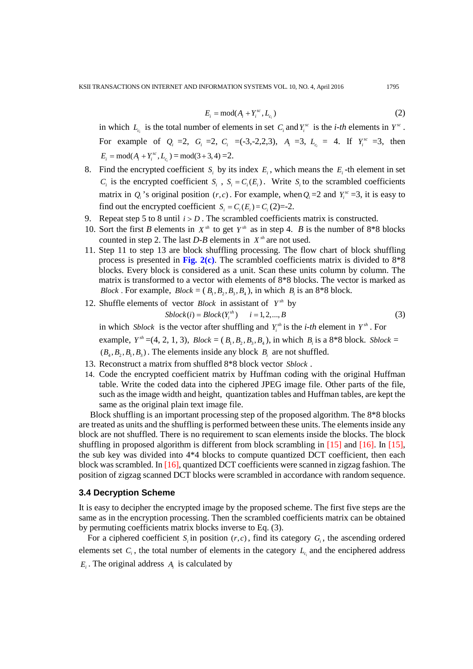$$
E_i = \text{mod}(A_i + Y_i^{sc}, L_{c_i})
$$
\n<sup>(2)</sup>

in which  $L_c$  is the total number of elements in set  $C_i$  and  $Y_i^{sc}$  is the *i-th* elements in  $Y^{sc}$ . For example of  $Q_i = 2$ ,  $G_i = 2$ ,  $C_i = (-3,-2,2,3)$ ,  $A_i = 3$ ,  $L_{c_i} = 4$ . If  $Y_i^{sc} = 3$ , then  $E_i = \text{mod}(A_i + Y_i^{sc}, L_{c_i}) = \text{mod}(3 + 3, 4) = 2.$ 

- 8. Find the encrypted coefficient  $S_i$  by its index  $E_i$ , which means the  $E_i$ -th element in set  $C_i$  is the encrypted coefficient  $S_i$ ,  $S_i = C_i(E_i)$ . Write  $S_i$  to the scrambled coefficients matrix in  $Q_i$  's original position  $(r, c)$ . For example, when  $Q_i = 2$  and  $Y_i^{\text{sc}} = 3$ , it is easy to find out the encrypted coefficient  $S_i = C_i(E_i) = C_i(2) = -2$ .
- 9. Repeat step 5 to 8 until  $i > D$ . The scrambled coefficients matrix is constructed.
- 10. Sort the first *B* elements in  $X^{sh}$  to get  $Y^{sh}$  as in step 4. *B* is the number of 8<sup>\*8</sup> blocks counted in step 2. The last  $D$ -B elements in  $X^{sh}$  are not used.
- 11. Step 11 to step 13 are block shuffling processing. The flow chart of block shuffling process is presented in [Fig.](#page-4-0)  $2(c)$ . The scrambled coefficients matrix is divided to  $8*8$ blocks. Every block is considered as a unit. Scan these units column by column. The matrix is transformed to a vector with elements of 8\*8 blocks. The vector is marked as *Block*. For example,  $Block = (B_1, B_2, B_3, B_4)$ , in which  $B_i$  is an 8<sup>\*8</sup> block.
- 12. Shuffle elements of vector *Block* in assistant of  $Y^{sh}$  by

$$
Sblock(i) = Block(Y_i^{sh}) \qquad i = 1, 2, ..., B
$$
\n<sup>(3)</sup>

in which *Sblock* is the vector after shuffling and  $Y_i^{sh}$  is the *i-th* element in  $Y_i^{sh}$ . For example,  $Y^{sh} = (4, 2, 1, 3)$ ,  $Block = (B_1, B_2, B_3, B_4)$ , in which  $B_i$  is a 8<sup>\*8</sup> block. *Sblock* =  $(B_4, B_2, B_1, B_3)$ . The elements inside any block  $B_i$  are not shuffled.

- 13. Reconstruct a matrix from shuffled 8\*8 block vector *Sblock* .
- 14. Code the encrypted coefficient matrix by Huffman coding with the original Huffman table. Write the coded data into the ciphered JPEG image file. Other parts of the file, such as the image width and height, quantization tables and Huffman tables, are kept the same as the original plain text image file.

Block shuffling is an important processing step of the proposed algorithm. The 8\*8 blocks are treated as units and the shuffling is performed between these units. The elements inside any block are not shuffled. There is no requirement to scan elements inside the blocks. The block shuffling in proposed algorithm is different from block scrambling in [\[15\]](#page-15-7) and [\[16\].](#page-15-8) In [\[15\],](#page-15-7) the sub key was divided into 4\*4 blocks to compute quantized DCT coefficient, then each block was scrambled. In [\[16\],](#page-15-8) quantized DCT coefficients were scanned in zigzag fashion. The position of zigzag scanned DCT blocks were scrambled in accordance with random sequence.

#### **3.4 Decryption Scheme**

It is easy to decipher the encrypted image by the proposed scheme. The first five steps are the same as in the encryption processing. Then the scrambled coefficients matrix can be obtained by permuting coefficients matrix blocks inverse to Eq. (3).

For a ciphered coefficient  $S_i$  in position  $(r, c)$ , find its category  $G_i$ , the ascending ordered elements set  $C_i$ , the total number of elements in the category  $L_{c_i}$  and the enciphered address  $E_i$ . The original address  $A_i$  is calculated by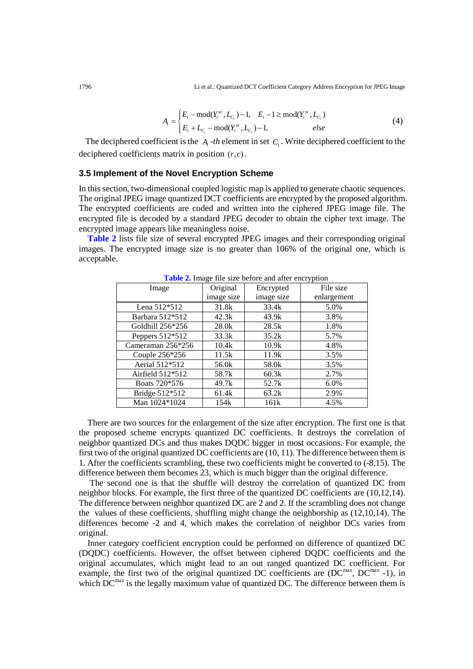$$
A_i = \begin{cases} E_i - \text{mod}(Y_i^{sc}, L_{C_i}) - 1, & E_i - 1 \ge \text{mod}(Y_i^{sc}, L_{C_i}) \\ E_i + L_{C_i} - \text{mod}(Y_i^{sc}, L_{C_i}) - 1, & else \end{cases}
$$
(4)

The deciphered coefficient is the  $A_i$ -th element in set  $C_i$ . Write deciphered coefficient to the deciphered coefficients matrix in position  $(r, c)$ .

#### **3.5 Implement of the Novel Encryption Scheme**

In this section, two-dimensional coupled logistic map is applied to generate chaotic sequences. The original JPEG image quantized DCT coefficients are encrypted by the proposed algorithm. The encrypted coefficients are coded and written into the ciphered JPEG image file. The encrypted file is decoded by a standard JPEG decoder to obtain the cipher text image. The encrypted image appears like meaningless noise.

**Table 2** lists file size of several encrypted JPEG images and their corresponding original images. The encrypted image size is no greater than 106% of the original one, which is acceptable.

| <b>THOICE:</b> Things the size before and after each yphone |            |            |             |
|-------------------------------------------------------------|------------|------------|-------------|
| Image                                                       | Original   | Encrypted  | File size   |
|                                                             | image size | image size | enlargement |
| Lena 512*512                                                | 31.8k      | 33.4k      | 5.0%        |
| Barbara 512*512                                             | 42.3k      | 43.9k      | 3.8%        |
| Goldhill 256*256                                            | 28.0k      | 28.5k      | 1.8%        |
| Peppers 512*512                                             | 33.3k      | 35.2k      | 5.7%        |
| Cameraman 256*256                                           | 10.4k      | 10.9k      | 4.8%        |
| Couple 256*256                                              | 11.5k      | 11.9k      | 3.5%        |
| Aerial 512*512                                              | 56.0k      | 58.0k      | 3.5%        |
| Airfield $512*512$                                          | 58.7k      | 60.3k      | 2.7%        |
| Boats 720*576                                               | 49.7k      | 52.7k      | 6.0%        |
| Bridge 512*512                                              | 61.4k      | 63.2k      | 2.9%        |
| Man 1024*1024                                               | 154k       | 161k       | 4.5%        |

**Table 2.** Image file size before and after encryption

There are two sources for the enlargement of the size after encryption. The first one is that the proposed scheme encrypts quantized DC coefficients. It destroys the correlation of neighbor quantized DCs and thus makes DQDC bigger in most occasions. For example, the first two of the original quantized DC coefficients are (10, 11). The difference between them is 1. After the coefficients scrambling, these two coefficients might be converted to (-8,15). The difference between them becomes 23, which is much bigger than the original difference.

The second one is that the shuffle will destroy the correlation of quantized DC from neighbor blocks. For example, the first three of the quantized DC coefficients are (10,12,14). The difference between neighbor quantized DC are 2 and 2. If the scrambling does not change the values of these coefficients, shuffling might change the neighborship as  $(12,10,14)$ . The differences become -2 and 4, which makes the correlation of neighbor DCs varies from original.

Inner category coefficient encryption could be performed on difference of quantized DC (DQDC) coefficients. However, the offset between ciphered DQDC coefficients and the original accumulates, which might lead to an out ranged quantized DC coefficient. For example, the first two of the original quantized DC coefficients are  $(DC^{max}, DC^{max} -1)$ , in which  $DC^{max}$  is the legally maximum value of quantized DC. The difference between them is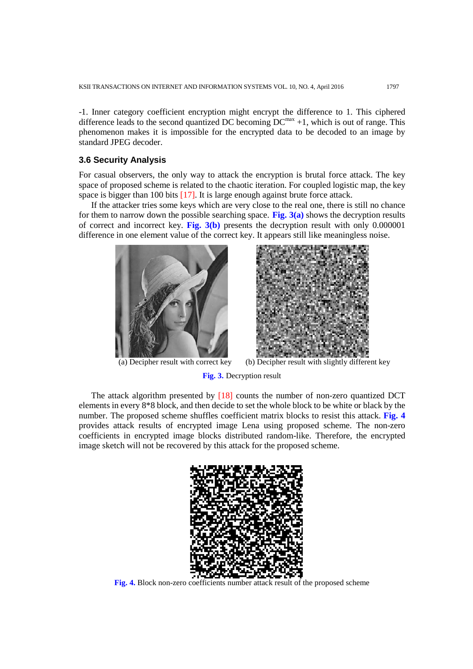-1. Inner category coefficient encryption might encrypt the difference to 1. This ciphered difference leads to the second quantized DC becoming  $DC^{max} +1$ , which is out of range. This phenomenon makes it is impossible for the encrypted data to be decoded to an image by standard JPEG decoder.

#### **3.6 Security Analysis**

For casual observers, the only way to attack the encryption is brutal force attack. The key space of proposed scheme is related to the chaotic iteration. For coupled logistic map, the key space is bigger than 100 bits [\[17\].](#page-15-9) It is large enough against brute force attack.

If the attacker tries some keys which are very close to the real one, there is still no chance for them to narrow down the possible searching space. **[Fig.](#page-7-0) 3(a)** shows the decryption results of correct and incorrect key. **[Fig.](#page-7-0) 3(b)** presents the decryption result with only 0.000001 difference in one element value of the correct key. It appears still like meaningless noise.





(a) Decipher result with correct key (b) Decipher result with slightly different key

**Fig. 3.** Decryption result

<span id="page-7-0"></span>The attack algorithm presented by [\[18\]](#page-15-10) counts the number of non-zero quantized DCT elements in every 8\*8 block, and then decide to set the whole block to be white or black by the number. The proposed scheme shuffles coefficient matrix blocks to resist this attack. **[Fig.](#page-7-1) 4** provides attack results of encrypted image Lena using proposed scheme. The non-zero coefficients in encrypted image blocks distributed random-like. Therefore, the encrypted image sketch will not be recovered by this attack for the proposed scheme.

<span id="page-7-1"></span>

**Fig. 4.** Block non-zero coefficients number attack result of the proposed scheme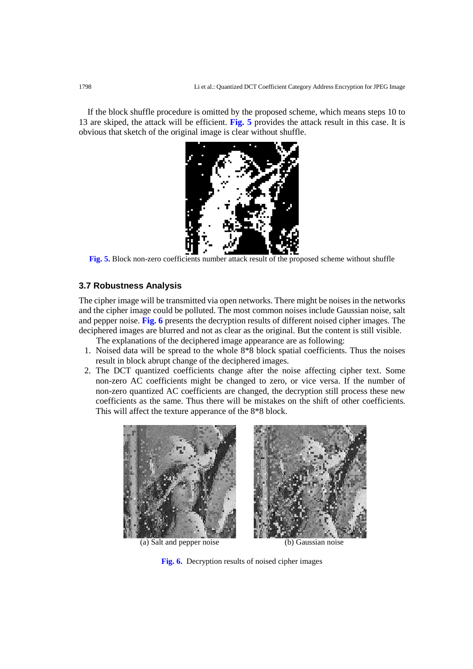If the block shuffle procedure is omitted by the proposed scheme, which means steps 10 to 13 are skiped, the attack will be efficient. **[Fig.](#page-8-0) 5** provides the attack result in this case. It is obvious that sketch of the original image is clear without shuffle.



**Fig. 5.** Block non-zero coefficients number attack result of the proposed scheme without shuffle

## <span id="page-8-0"></span>**3.7 Robustness Analysis**

The cipher image will be transmitted via open networks. There might be noises in the networks and the cipher image could be polluted. The most common noises include Gaussian noise, salt and pepper noise. **[Fig.](#page-8-1) 6** presents the decryption results of different noised cipher images. The deciphered images are blurred and not as clear as the original. But the content is still visible.

The explanations of the deciphered image appearance are as following:

- 1. Noised data will be spread to the whole 8\*8 block spatial coefficients. Thus the noises result in block abrupt change of the deciphered images.
- 2. The DCT quantized coefficients change after the noise affecting cipher text. Some non-zero AC coefficients might be changed to zero, or vice versa. If the number of non-zero quantized AC coefficients are changed, the decryption still process these new coefficients as the same. Thus there will be mistakes on the shift of other coefficients. This will affect the texture apperance of the 8\*8 block.



(a) Salt and pepper noise (b) Gaussian noise

<span id="page-8-1"></span>**Fig. 6.** Decryption results of noised cipher images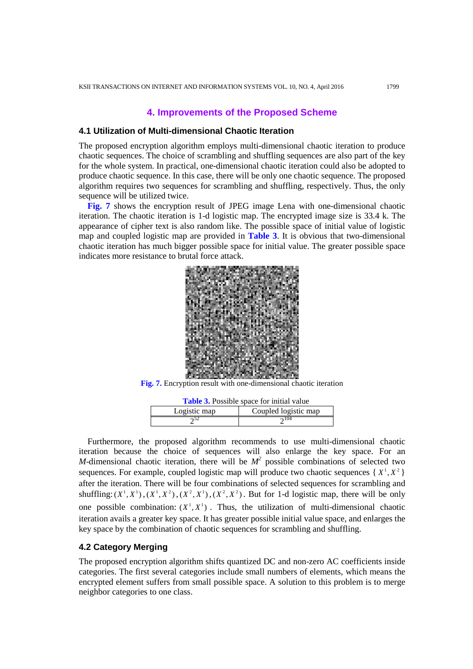# **4. Improvements of the Proposed Scheme**

## **4.1 Utilization of Multi-dimensional Chaotic Iteration**

The proposed encryption algorithm employs multi-dimensional chaotic iteration to produce chaotic sequences. The choice of scrambling and shuffling sequences are also part of the key for the whole system. In practical, one-dimensional chaotic iteration could also be adopted to produce chaotic sequence. In this case, there will be only one chaotic sequence. The proposed algorithm requires two sequences for scrambling and shuffling, respectively. Thus, the only sequence will be utilized twice.

**[Fig.](#page-9-0) 7** shows the encryption result of JPEG image Lena with one-dimensional chaotic iteration. The chaotic iteration is 1-d logistic map. The encrypted image size is 33.4 k. The appearance of cipher text is also random like. The possible space of initial value of logistic map and coupled logistic map are provided in **Table 3**. It is obvious that two-dimensional chaotic iteration has much bigger possible space for initial value. The greater possible space indicates more resistance to brutal force attack.



**Fig. 7.** Encryption result with one-dimensional chaotic iteration

| <b>Table 3.</b> Possible space for initial value |                      |  |  |
|--------------------------------------------------|----------------------|--|--|
| Logistic map                                     | Coupled logistic map |  |  |
|                                                  | $\mathcal{D}^{104}$  |  |  |

<span id="page-9-0"></span>Furthermore, the proposed algorithm recommends to use multi-dimensional chaotic iteration because the choice of sequences will also enlarge the key space. For an *M*-dimensional chaotic iteration, there will be  $M^2$  possible combinations of selected two sequences. For example, coupled logistic map will produce two chaotic sequences  $\{X^1, X^2\}$ after the iteration. There will be four combinations of selected sequences for scrambling and shuffling:  $(X^1, X^1)$ ,  $(X^1, X^2)$ ,  $(X^2, X^1)$ ,  $(X^2, X^2)$ . But for 1-d logistic map, there will be only one possible combination:  $(X^1, X^1)$ . Thus, the utilization of multi-dimensional chaotic iteration avails a greater key space. It has greater possible initial value space, and enlarges the key space by the combination of chaotic sequences for scrambling and shuffling.

## **4.2 Category Merging**

The proposed encryption algorithm shifts quantized DC and non-zero AC coefficients inside categories. The first several categories include small numbers of elements, which means the encrypted element suffers from small possible space. A solution to this problem is to merge neighbor categories to one class.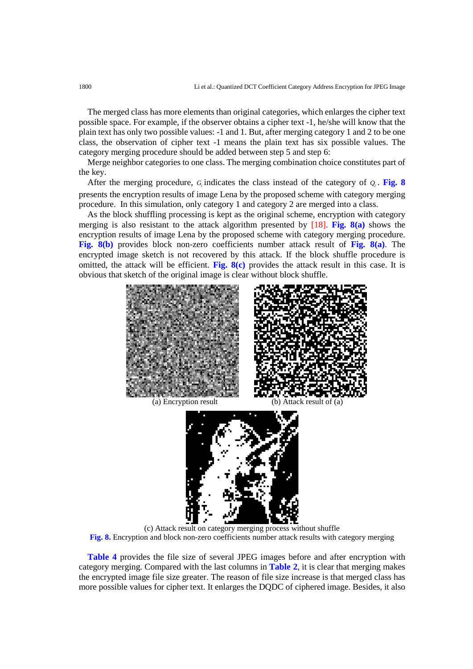The merged class has more elements than original categories, which enlarges the cipher text possible space. For example, if the observer obtains a cipher text -1, he/she will know that the plain text has only two possible values: -1 and 1. But, after merging category 1 and 2 to be one class, the observation of cipher text -1 means the plain text has six possible values. The category merging procedure should be added between step 5 and step 6:

Merge neighbor categories to one class. The merging combination choice constitutes part of the key.

After the merging procedure,  $G_i$  indicates the class instead of the category of  $Q_i$ . **[Fig.](#page-10-0) 8** presents the encryption results of image Lena by the proposed scheme with category merging procedure. In this simulation, only category 1 and category 2 are merged into a class.

As the block shuffling processing is kept as the original scheme, encryption with category merging is also resistant to the attack algorithm presented by [\[18\].](#page-15-10) **[Fig.](#page-10-0) 8(a)** shows the encryption results of image Lena by the proposed scheme with category merging procedure. **[Fig.](#page-10-0) 8(b)** provides block non-zero coefficients number attack result of **[Fig.](#page-10-0) 8(a)**. The encrypted image sketch is not recovered by this attack. If the block shuffle procedure is omitted, the attack will be efficient. **[Fig.](#page-10-0) 8(c)** provides the attack result in this case. It is obvious that sketch of the original image is clear without block shuffle.



<span id="page-10-0"></span>

**Table 4** provides the file size of several JPEG images before and after encryption with category merging. Compared with the last columns in **Table 2**, it is clear that merging makes the encrypted image file size greater. The reason of file size increase is that merged class has more possible values for cipher text. It enlarges the DQDC of ciphered image. Besides, it also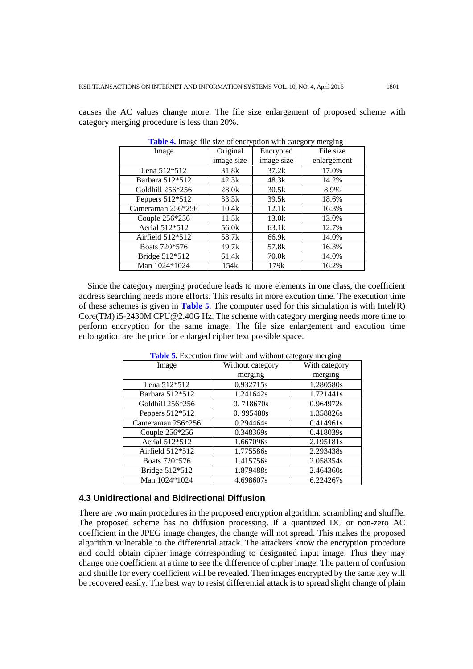causes the AC values change more. The file size enlargement of proposed scheme with category merging procedure is less than 20%.

| <b>Thore</b> is mage the size of each public with each of the sing |            |            |             |  |
|--------------------------------------------------------------------|------------|------------|-------------|--|
| Image                                                              | Original   | Encrypted  | File size   |  |
|                                                                    | image size | image size | enlargement |  |
| Lena 512*512                                                       | 31.8k      | 37.2k      | 17.0%       |  |
| Barbara 512*512                                                    | 42.3k      | 48.3k      | 14.2%       |  |
| Goldhill 256*256                                                   | 28.0k      | 30.5k      | 8.9%        |  |
| Peppers $512*512$                                                  | 33.3k      | 39.5k      | 18.6%       |  |
| Cameraman 256*256                                                  | 10.4k      | 12.1k      | 16.3%       |  |
| Couple 256*256                                                     | 11.5k      | 13.0k      | 13.0%       |  |
| Aerial 512*512                                                     | 56.0k      | 63.1k      | 12.7%       |  |
| Airfield 512*512                                                   | 58.7k      | 66.9k      | 14.0%       |  |
| Boats 720*576                                                      | 49.7k      | 57.8k      | 16.3%       |  |
| Bridge 512*512                                                     | 61.4k      | 70.0k      | 14.0%       |  |
| Man 1024*1024                                                      | 154k       | 179k       | 16.2%       |  |

**Table 4.** Image file size of encryption with category merging

Since the category merging procedure leads to more elements in one class, the coefficient address searching needs more efforts. This results in more excution time. The execution time of these schemes is given in **Table 5**. The computer used for this simulation is with Intel(R) Core(TM) i5-2430M CPU@2.40G Hz. The scheme with category merging needs more time to perform encryption for the same image. The file size enlargement and excution time enlongation are the price for enlarged cipher text possible space.

|                   |                  | 00            |  |
|-------------------|------------------|---------------|--|
| Image             | Without category | With category |  |
|                   | merging          | merging       |  |
| Lena 512*512      | 0.932715s        | 1.280580s     |  |
| Barbara 512*512   | 1.241642s        | 1.721441s     |  |
| Goldhill 256*256  | 0.718670s        | 0.964972s     |  |
| Peppers 512*512   | 0.995488s        | 1.358826s     |  |
| Cameraman 256*256 | 0.294464s        | 0.414961s     |  |
| Couple 256*256    | 0.348369s        | 0.418039s     |  |
| Aerial 512*512    | 1.667096s        | 2.195181s     |  |
| Airfield 512*512  | 1.775586s        | 2.293438s     |  |
| Boats 720*576     | 1.415756s        | 2.058354s     |  |
| Bridge 512*512    | 1.879488s        | 2.464360s     |  |
| Man 1024*1024     | 4.698607s        | 6.224267s     |  |

**Table 5.** Execution time with and without category merging

#### **4.3 Unidirectional and Bidirectional Diffusion**

There are two main procedures in the proposed encryption algorithm: scrambling and shuffle. The proposed scheme has no diffusion processing. If a quantized DC or non-zero AC coefficient in the JPEG image changes, the change will not spread. This makes the proposed algorithm vulnerable to the differential attack. The attackers know the encryption procedure and could obtain cipher image corresponding to designated input image. Thus they may change one coefficient at a time to see the difference of cipher image. The pattern of confusion and shuffle for every coefficient will be revealed. Then images encrypted by the same key will be recovered easily. The best way to resist differential attack is to spread slight change of plain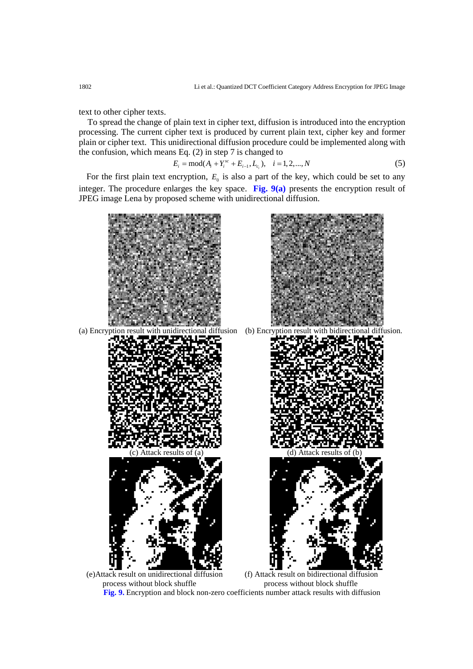text to other cipher texts.

To spread the change of plain text in cipher text, diffusion is introduced into the encryption processing. The current cipher text is produced by current plain text, cipher key and former plain or cipher text. This unidirectional diffusion procedure could be implemented along with the confusion, which means Eq. (2) in step 7 is changed to

$$
E_i = \text{mod}(A_i + Y_i^{sc} + E_{i-1}, L_{c_i}), \quad i = 1, 2, ..., N
$$
 (5)

For the first plain text encryption,  $E_0$  is also a part of the key, which could be set to any integer. The procedure enlarges the key space. **[Fig.](#page-12-0) 9(a)** presents the encryption result of JPEG image Lena by proposed scheme with unidirectional diffusion.



<span id="page-12-0"></span>**Fig. 9.** Encryption and block non-zero coefficients number attack results with diffusion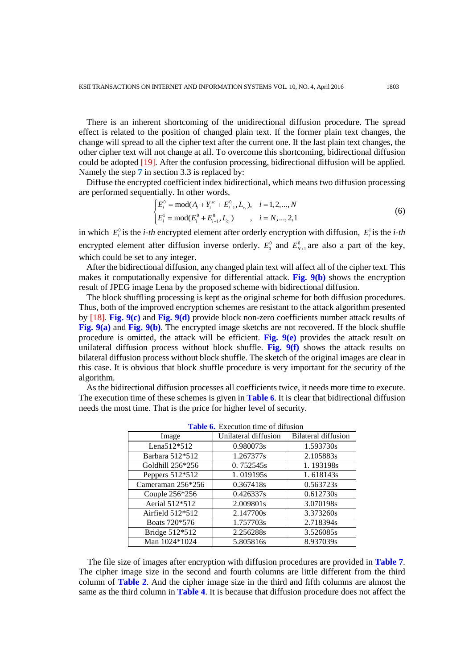There is an inherent shortcoming of the unidirectional diffusion procedure. The spread effect is related to the position of changed plain text. If the former plain text changes, the change will spread to all the cipher text after the current one. If the last plain text changes, the other cipher text will not change at all. To overcome this shortcoming, bidirectional diffusion could be adopted [\[19\].](#page-15-11) After the confusion processing, bidirectional diffusion will be applied. Namely the step **7** in section 3.3 is replaced by:

Diffuse the encrypted coefficient index bidirectional, which means two diffusion processing are performed sequentially. In other words,

$$
\begin{cases} E_i^0 = \text{mod}(A_i + Y_i^{sc} + E_{i-1}^0, L_{c_i}), & i = 1, 2, ..., N \\ E_i^1 = \text{mod}(E_i^0 + E_{i+1}^0, L_{c_i}) & , i = N, ..., 2, 1 \end{cases}
$$
 (6)

in which  $E_i^0$  is the *i-th* encrypted element after orderly encryption with diffusion,  $E_i^1$  is the *i-th* encrypted element after diffusion inverse orderly.  $E_0^0$  and  $E_{N+1}^0$  are also a part of the key, which could be set to any integer.

After the bidirectional diffusion, any changed plain text will affect all of the cipher text. This makes it computationally expensive for differential attack. **[Fig.](#page-12-0) 9(b)** shows the encryption result of JPEG image Lena by the proposed scheme with bidirectional diffusion.

The block shuffling processing is kept as the original scheme for both diffusion procedures. Thus, both of the improved encryption schemes are resistant to the attack algorithm presented by [\[18\].](#page-15-10) **[Fig.](#page-12-0) 9(c)** and **[Fig.](#page-12-0) 9(d)** provide block non-zero coefficients number attack results of **[Fig.](#page-12-0) 9(a)** and **[Fig.](#page-12-0) 9(b)**. The encrypted image sketchs are not recovered. If the block shuffle procedure is omitted, the attack will be efficient. **[Fig.](#page-12-0) 9(e)** provides the attack result on unilateral diffusion process without block shuffle. **[Fig.](#page-12-0) 9(f)** shows the attack results on bilateral diffusion process without block shuffle. The sketch of the original images are clear in this case. It is obvious that block shuffle procedure is very important for the security of the algorithm.

As the bidirectional diffusion processes all coefficients twice, it needs more time to execute. The execution time of these schemes is given in **Table 6**. It is clear that bidirectional diffusion needs the most time. That is the price for higher level of security.

| Image              | Unilateral diffusion | <b>Bilateral diffusion</b> |  |  |
|--------------------|----------------------|----------------------------|--|--|
| Lena512*512        | 0.980073s            | 1.593730s                  |  |  |
| Barbara 512*512    | 1.267377s            | 2.105883s                  |  |  |
| Goldhill 256*256   | 0.752545s            | 1.193198s                  |  |  |
| Peppers $512*512$  | 1.019195s            | 1.618143s                  |  |  |
| Cameraman 256*256  | 0.367418s            | 0.563723s                  |  |  |
| Couple $256*256$   | 0.426337s            | 0.612730s                  |  |  |
| Aerial 512*512     | 2.009801s            | 3.070198s                  |  |  |
| Airfield $512*512$ | 2.147700s            | 3.373260s                  |  |  |
| Boats 720*576      | 1.757703s            | 2.718394s                  |  |  |
| Bridge 512*512     | 2.256288s            | 3.526085s                  |  |  |
| Man 1024*1024      | 5.805816s            | 8.937039s                  |  |  |

**Table 6.** Execution time of difusion

The file size of images after encryption with diffusion procedures are provided in **Table 7**. The cipher image size in the second and fourth columns are little different from the third column of **Table 2**. And the cipher image size in the third and fifth columns are almost the same as the third column in **Table 4**. It is because that diffusion procedure does not affect the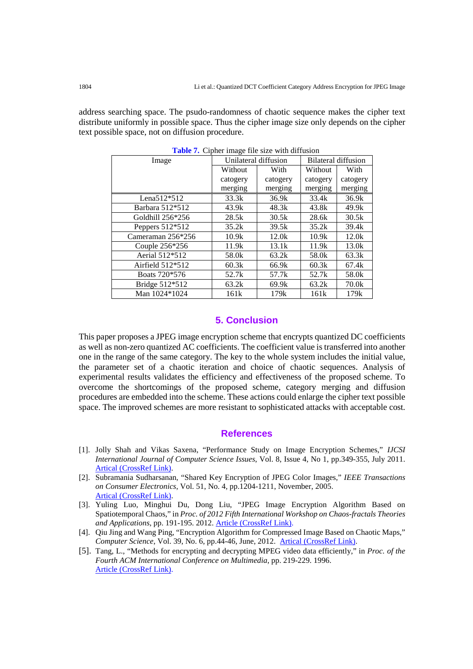address searching space. The psudo-randomness of chaotic sequence makes the cipher text distribute uniformly in possible space. Thus the cipher image size only depends on the cipher text possible space, not on diffusion procedure.

| Image              | Unilateral diffusion |          | Bilateral diffusion |          |
|--------------------|----------------------|----------|---------------------|----------|
|                    | Without              | With     | Without             | With     |
|                    | catogery             | catogery | catogery            | catogery |
|                    | merging              | merging  | merging             | merging  |
| Lena $512*512$     | 33.3k                | 36.9k    | 33.4k               | 36.9k    |
| Barbara 512*512    | 43.9k                | 48.3k    | 43.8k               | 49.9k    |
| Goldhill 256*256   | 28.5k                | 30.5k    | 28.6k               | 30.5k    |
| Peppers 512*512    | 35.2k                | 39.5k    | 35.2k               | 39.4k    |
| Cameraman 256*256  | 10.9k                | 12.0k    | 10.9k               | 12.0k    |
| Couple 256*256     | 11.9k                | 13.1k    | 11.9k               | 13.0k    |
| Aerial 512*512     | 58.0k                | 63.2k    | 58.0k               | 63.3k    |
| Airfield $512*512$ | 60.3k                | 66.9k    | 60.3k               | 67.4k    |
| Boats 720*576      | 52.7k                | 57.7k    | 52.7k               | 58.0k    |
| Bridge 512*512     | 63.2k                | 69.9k    | 63.2k               | 70.0k    |
| Man 1024*1024      | 161k                 | 179k     | 161k                | 179k     |

**Table 7.** Cipher image file size with diffusion

# **5. Conclusion**

This paper proposes a JPEG image encryption scheme that encrypts quantized DC coefficients as well as non-zero quantized AC coefficients. The coefficient value is transferred into another one in the range of the same category. The key to the whole system includes the initial value, the parameter set of a chaotic iteration and choice of chaotic sequences. Analysis of experimental results validates the efficiency and effectiveness of the proposed scheme. To overcome the shortcomings of the proposed scheme, category merging and diffusion procedures are embedded into the scheme. These actions could enlarge the cipher text possible space. The improved schemes are more resistant to sophisticated attacks with acceptable cost.

#### <span id="page-14-4"></span>**References**

- <span id="page-14-0"></span>[1]. Jolly Shah and Vikas Saxena, "Performance Study on Image Encryption Schemes," *IJCSI International Journal of Computer Science Issues*, Vol. 8, Issue 4, No 1, pp.349-355, July 2011. [Artical \(CrossRef Link\).](http://arxiv.org/ftp/arxiv/papers/1112/1112.0836.pdf)
- <span id="page-14-1"></span>[2]. Subramania Sudharsanan, "Shared Key Encryption of JPEG Color Images," *IEEE Transactions on Consumer Electronics*, Vol. 51, No. 4, pp.1204-1211, November, 2005. [Artical \(CrossRef Link\).](http://ieeexplore.ieee.org/xpl/login.jsp?tp=&arnumber=1561845&url=http%3A%2F%2Fieeexplore.ieee.org%2Fxpls%2Fabs_all.jsp%3Farnumber%3D1561845)
- <span id="page-14-2"></span>[3]. Yuling Luo, Minghui Du, Dong Liu, "JPEG Image Encryption Algorithm Based on Spatiotemporal Chaos," in *Proc. of 2012 Fifth International Workshop on Chaos-fractals Theories and Applications*, pp. 191-195. 2012. [Article \(CrossRef Link\).](http://dx.doi.org/10.1109/IWCFTA.2012.49)
- <span id="page-14-3"></span>[4]. Qiu Jing and Wang Ping, "Encryption Algorithm for Compressed Image Based on Chaotic Maps," *Computer Science*, Vol. 39, No. 6, pp.44-46, June, 2012. [Artical \(CrossRef Link\).](http://en.cnki.com.cn/Article_en/CJFDTOTAL-JSJA201206012.htm)
- <span id="page-14-5"></span>[5]. Tang, L., "Methods for encrypting and decrypting MPEG video data efficiently," in *Proc. of the Fourth ACM International Conference on Multimedia*, pp. 219-229. 1996. [Article \(CrossRef Link\).](http://dx.doi.org/10.1145/244130.244209)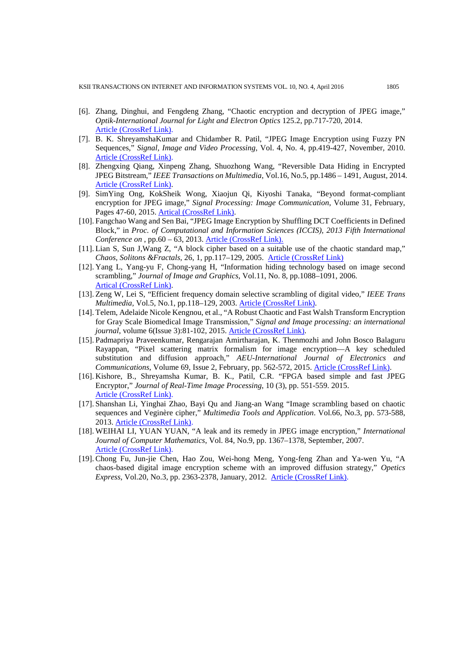- <span id="page-15-0"></span>[6]. Zhang, Dinghui, and Fengdeng Zhang, "Chaotic encryption and decryption of JPEG image," *Optik-International Journal for Light and Electron Optics* 125.2, pp.717-720, 2014. [Article \(CrossRef Link\).](http://dx.doi.org/10.1016/j.ijleo.2013.07.069)
- [7]. B. K. ShreyamshaKumar and Chidamber R. Patil, "JPEG Image Encryption using Fuzzy PN Sequences," *Signal, Image and Video Processing*, Vol. 4, No. 4, pp.419-427, November, 2010. [Article \(CrossRef Link\).](http://dx.doi.org/10.1007/s11760-009-0131-6)
- <span id="page-15-1"></span>[8]. Zhengxing Qiang, Xinpeng Zhang, Shuozhong Wang, "Reversible Data Hiding in Encrypted JPEG Bitstream," *IEEE Transactions on Multimedia*, Vol.16, No.5, pp.1486 – 1491, August, 2014. [Article \(CrossRef Link\).](http://dx.doi.org/10.1109/TMM.2014.2316154)
- <span id="page-15-2"></span>[9]. SimYing Ong, KokSheik Wong, Xiaojun Qi, Kiyoshi Tanaka, "Beyond format-compliant encryption for JPEG image," *Signal Processing: Image Communication*, Volume 31, February, Pages 47-60, 2015. [Artical \(CrossRef Link\).](http://digital.cs.usu.edu/%7Exqi/Promotion/SPIC.BFE.15.pdf)
- <span id="page-15-3"></span>[10]. Fangchao Wang and Sen Bai, "JPEG Image Encryption by Shuffling DCT Coefficients in Defined Block," in *Proc. of Computational and Information Sciences (ICCIS), 2013 Fifth International Conference on* , pp.60 – 63, 2013. [Article \(CrossRef Link\).](http://dx.doi.org/10.1109/ICCIS.2013.24)
- <span id="page-15-4"></span>[11]. Lian S, Sun J,Wang Z, "A block cipher based on a suitable use of the chaotic standard map," *Chaos, Solitons &Fractals,* 26, 1, pp.117–129, 2005. [Article \(CrossRef Link\)](http://dx.doi.org/10.1016/j.chaos.2004.11.096)
- [12]. Yang L, Yang-yu F, Chong-yang H, "Information hiding technology based on image second scrambling," *Journal of Image and Graphics*, Vol.11, No. 8, pp.1088–1091, 2006. [Artical \(CrossRef Link\).](http://en.cnki.com.cn/Article_en/CJFDTOTAL-ZGTB200608005.htm)
- <span id="page-15-5"></span>[13]. Zeng W, Lei S, "Efficient frequency domain selective scrambling of digital video," *IEEE Trans Multimedia,* Vol.5, No.1, pp.118–129, 2003. [Article \(CrossRef Link\).](http://ieeexplore.ieee.org/xpl/login.jsp?tp=&arnumber=1196741&url=http%3A%2F%2Fieeexplore.ieee.org%2Fxpls%2Fabs_all.jsp%3Farnumber%3D1196741)
- <span id="page-15-6"></span>[14]. Telem, Adelaide Nicole Kengnou, et al., "A Robust Chaotic and Fast Walsh Transform Encryption for Gray Scale Biomedical Image Transmission," *Signal and Image processing: an international journal*, volume 6(Issue 3):81-102, 2015. [Article \(CrossRef Link\).](http://aircconline.com/sipij/V6N3/6315sipij07.pdf)
- <span id="page-15-7"></span>[15]. Padmapriya Praveenkumar, Rengarajan Amirtharajan, K. Thenmozhi and John Bosco Balaguru Rayappan, "Pixel scattering matrix formalism for image encryption—A key scheduled substitution and diffusion approach," *AEU-International Journal of Electronics and Communications*, Volume 69, Issue 2, February, pp. 562-572, 2015. [Article \(CrossRef Link\).](http://www.sciencedirect.com/science/article/pii/S1434841114003306)
- <span id="page-15-8"></span>[16]. Kishore, B., Shreyamsha Kumar, B. K., Patil, C.R. "FPGA based simple and fast JPEG Encryptor," *Journal of Real-Time Image Processing*, 10 (3), pp. 551-559. 2015. [Article \(CrossRef Link\).](http://dx.doi.org/10.1007/s11554-012-0282-5)
- <span id="page-15-9"></span>[17]. Shanshan Li, Yinghai Zhao, Bayi Qu and Jiang-an Wang "Image scrambling based on chaotic sequences and Veginère cipher," *Multimedia Tools and Application*. Vol.66, No.3, pp. 573-588, 2013. Article [\(CrossRef Link\).](http://dx.doi.org/10.1007/s11042-012-1281-z)
- <span id="page-15-10"></span>[18]. WEIHAI LI, YUAN YUAN, "A leak and its remedy in JPEG image encryption," *International Journal of Computer Mathematics*, Vol. 84, No.9, pp. 1367–1378, September, 2007. [Article \(CrossRef Link\).](http://dx.doi.org/10.1080/00207160701294376)
- <span id="page-15-11"></span>[19]. Chong Fu, Jun-jie Chen, Hao Zou, Wei-hong Meng, Yong-feng Zhan and Ya-wen Yu, "A chaos-based digital image encryption scheme with an improved diffusion strategy," *Opetics Express*, Vol.20, No.3, pp. 2363-2378, January, 2012. [Article \(CrossRef Link\).](http://dx.doi.org/10.1364/OE.20.002363)